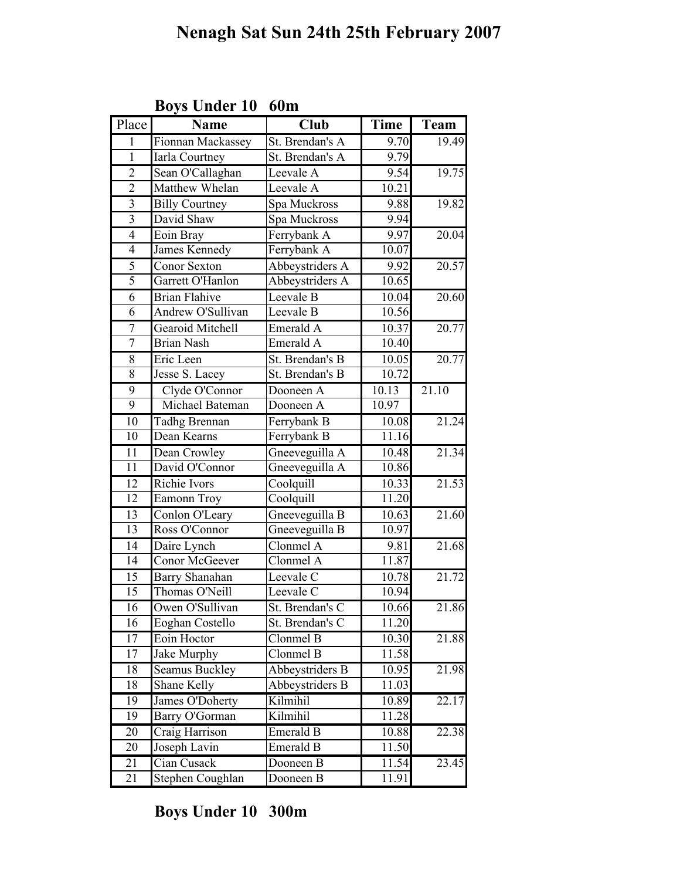| Place                   | <b>Name</b>             | <b>Club</b>     | <b>Time</b> | Team  |
|-------------------------|-------------------------|-----------------|-------------|-------|
| 1                       | Fionnan Mackassey       | St. Brendan's A | 9.70        | 19.49 |
| $\mathbf{1}$            | Iarla Courtney          | St. Brendan's A | 9.79        |       |
| $\overline{2}$          | Sean O'Callaghan        | Leevale A       | 9.54        | 19.75 |
| $\overline{2}$          | <b>Matthew Whelan</b>   | Leevale A       | 10.21       |       |
| $\overline{\mathbf{3}}$ | <b>Billy Courtney</b>   | Spa Muckross    | 9.88        | 19.82 |
| 3                       | David Shaw              | Spa Muckross    | 9.94        |       |
| $\overline{4}$          | Eoin Bray               | Ferrybank A     | 9.97        | 20.04 |
| $\overline{4}$          | James Kennedy           | Ferrybank A     | 10.07       |       |
| 5                       | Conor Sexton            | Abbeystriders A | 9.92        | 20.57 |
| $\overline{5}$          | Garrett O'Hanlon        | Abbeystriders A | 10.65       |       |
| $\overline{6}$          | <b>Brian Flahive</b>    | Leevale B       | 10.04       | 20.60 |
| 6                       | Andrew O'Sullivan       | Leevale B       | 10.56       |       |
| 7                       | <b>Gearoid Mitchell</b> | Emerald A       | 10.37       | 20.77 |
| 7                       | <b>Brian Nash</b>       | Emerald A       | 10.40       |       |
| 8                       | Eric Leen               | St. Brendan's B | 10.05       | 20.77 |
| 8                       | Jesse S. Lacey          | St. Brendan's B | 10.72       |       |
| 9                       | Clyde O'Connor          | Dooneen A       | 10.13       | 21.10 |
| 9                       | Michael Bateman         | Dooneen A       | 10.97       |       |
| $\overline{10}$         | Tadhg Brennan           | Ferrybank B     | 10.08       | 21.24 |
| 10                      | Dean Kearns             | Ferrybank B     | 11.16       |       |
| 11                      | Dean Crowley            | Gneeveguilla A  | 10.48       | 21.34 |
| 11                      | David O'Connor          | Gneeveguilla A  | 10.86       |       |
| 12                      | Richie Ivors            | Coolquill       | 10.33       | 21.53 |
| 12                      | Eamonn Troy             | Coolquill       | 11.20       |       |
| 13                      | Conlon O'Leary          | Gneeveguilla B  | 10.63       | 21.60 |
| 13                      | Ross O'Connor           | Gneeveguilla B  | 10.97       |       |
| 14                      | Daire Lynch             | Clonmel A       | 9.81        | 21.68 |
| $\overline{14}$         | Conor McGeever          | Clonmel A       | 11.87       |       |
| 15                      | Barry Shanahan          | Leevale C       | 10.78       | 21.72 |
| 15                      | Thomas O'Neill          | Leevale C       | 10.94       |       |
| $\overline{16}$         | Owen O'Sullivan         | St. Brendan's C | 10.66       | 21.86 |
| 16                      | Eoghan Costello         | St. Brendan's C | 11.20       |       |
| 17                      | Eoin Hoctor             | Clonmel B       | 10.30       | 21.88 |
| 17                      | Jake Murphy             | Clonmel B       | 11.58       |       |
| 18                      | <b>Seamus Buckley</b>   | Abbeystriders B | 10.95       | 21.98 |
| 18                      | Shane Kelly             | Abbeystriders B | 11.03       |       |
| 19                      | James O'Doherty         | Kilmihil        | 10.89       | 22.17 |
| 19                      | Barry O'Gorman          | Kilmihil        | 11.28       |       |
| 20                      | Craig Harrison          | Emerald B       | 10.88       | 22.38 |
| 20                      | Joseph Lavin            | Emerald B       | 11.50       |       |
| 21                      | Cian Cusack             | Dooneen B       | 11.54       | 23.45 |
| 21                      | Stephen Coughlan        | Dooneen B       | 11.91       |       |

Boys Under 10 60m

Boys Under 10 300m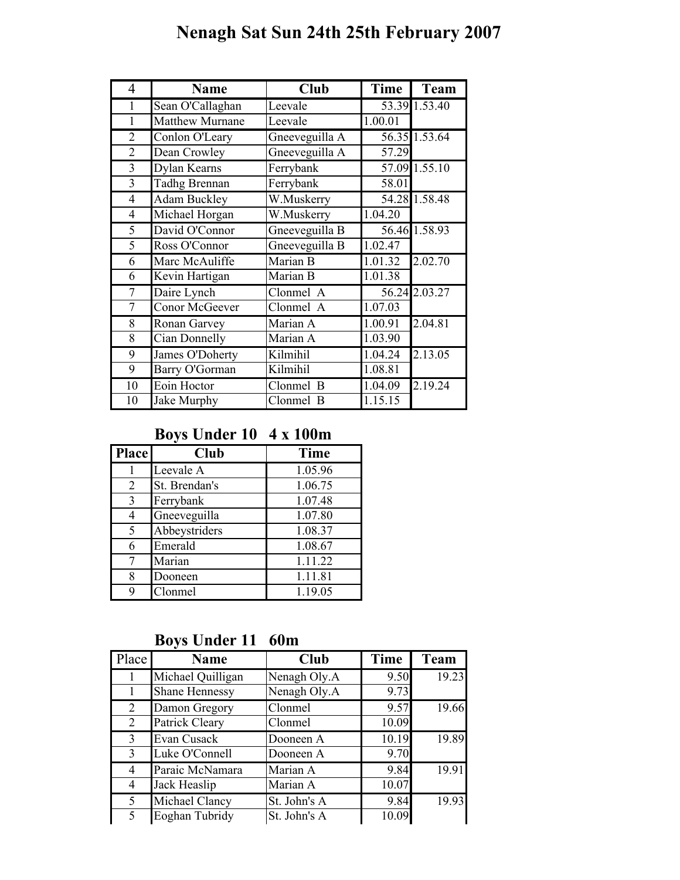## Nenagh Sat Sun 24th 25th February 2007

| 4              | <b>Name</b>            | <b>Club</b>    | <b>Time</b>          | <b>Team</b>   |
|----------------|------------------------|----------------|----------------------|---------------|
| $\mathbf{1}$   | Sean O'Callaghan       | Leevale        |                      | 53.39 1.53.40 |
| 1              | <b>Matthew Murnane</b> | Leevale        | 1.00.01              |               |
| $\overline{2}$ | Conlon O'Leary         | Gneeveguilla A |                      | 56.35 1.53.64 |
| $\overline{2}$ | Dean Crowley           | Gneeveguilla A | 57.29                |               |
| 3              | Dylan Kearns           | Ferrybank      |                      | 57.09 1.55.10 |
| 3              | <b>Tadhg Brennan</b>   | Ferrybank      | 58.01                |               |
| $\overline{4}$ | <b>Adam Buckley</b>    | W.Muskerry     |                      | 54.28 1.58.48 |
| $\overline{4}$ | Michael Horgan         | W.Muskerry     | 1.04.20              |               |
| 5              | David O'Connor         | Gneeveguilla B |                      | 56.46 1.58.93 |
| 5              | Ross O'Connor          | Gneeveguilla B | 1.02.47              |               |
| 6              | Marc McAuliffe         | Marian B       | 1.01.32              | 2.02.70       |
| 6              | Kevin Hartigan         | Marian B       | 1.01.38              |               |
| 7              | Daire Lynch            | Clonmel A      |                      | 56.24 2.03.27 |
| 7              | Conor McGeever         | Clonmel A      | 1.07.03              |               |
| 8              | Ronan Garvey           | Marian A       | 1.00.91              | 2.04.81       |
| 8              | Cian Donnelly          | Marian A       | 1.03.90              |               |
| 9              | James O'Doherty        | Kilmihil       | 1.04.24              | 2.13.05       |
| 9              | Barry O'Gorman         | Kilmihil       | 1.08.81              |               |
| 10             | Eoin Hoctor            | Clonmel B      | 1.04.09              | 2.19.24       |
| 10             | Jake Murphy            | Clonmel<br>B   | $\overline{1.15.15}$ |               |

### Boys Under 10 4 x 100m

| <b>Place</b> | <b>Club</b>   | <b>Time</b> |
|--------------|---------------|-------------|
|              | Leevale A     | 1.05.96     |
| 2            | St. Brendan's | 1.06.75     |
| 3            | Ferrybank     | 1.07.48     |
| 4            | Gneeveguilla  | 1.07.80     |
| 5            | Abbeystriders | 1.08.37     |
| 6            | Emerald       | 1.08.67     |
| 7            | Marian        | 1.11.22     |
| 8            | Dooneen       | 1.11.81     |
| 9            | Clonmel       | 1.19.05     |

Boys Under 11 60m

| Place          | <b>Name</b>           | <b>Club</b>  | Time  | <b>Team</b> |
|----------------|-----------------------|--------------|-------|-------------|
|                | Michael Quilligan     | Nenagh Oly.A | 9.50  | 19.23       |
|                | <b>Shane Hennessy</b> | Nenagh Oly.A | 9.73  |             |
| 2              | Damon Gregory         | Clonmel      | 9.57  | 19.66       |
| $\overline{2}$ | Patrick Cleary        | Clonmel      | 10.09 |             |
| 3              | Evan Cusack           | Dooneen A    | 10.19 | 19.89       |
| 3              | Luke O'Connell        | Dooneen A    | 9.70  |             |
| 4              | Paraic McNamara       | Marian A     | 9.84  | 19.91       |
| 4              | Jack Heaslip          | Marian A     | 10.07 |             |
| 5              | Michael Clancy        | St. John's A | 9.84  | 19.93       |
| $\varsigma$    | Eoghan Tubridy        | St. John's A | 10.09 |             |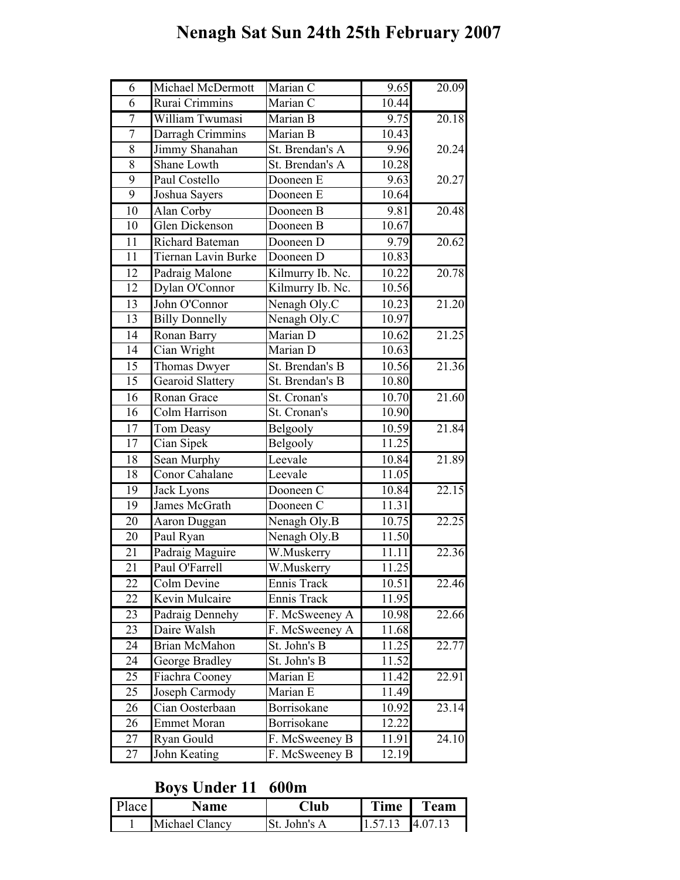# Nenagh Sat Sun 24th 25th February 2007

| 9.65<br>$10.\overline{44}$<br>6<br>Rurai Crimmins<br>Marian C<br>20.18<br>7<br>William Twumasi<br>9.75<br>Marian B<br>$\overline{7}$<br>Darragh Crimmins<br>Marian B<br>10.43<br>8<br>Jimmy Shanahan<br>20.24<br>St. Brendan's A<br>9.96<br><b>Shane Lowth</b><br>8<br>St. Brendan's A<br>10.28<br>9<br>Paul Costello<br>Dooneen E<br>20.27<br>9.63<br>10.64<br>$\overline{9}$<br>Joshua Sayers<br>Dooneen E<br>20.48<br>10<br>Alan Corby<br>9.81<br>Dooneen B<br>10.67<br>10<br>Glen Dickenson<br>Dooneen B<br>$\overline{11}$<br>Richard Bateman<br>9.79<br>20.62<br>Dooneen D<br>10.83<br>11<br><b>Tiernan Lavin Burke</b><br>Dooneen D<br>20.78<br>12<br>Padraig Malone<br>10.22<br>Kilmurry Ib. Nc.<br>$\overline{12}$<br>10.56<br>Dylan O'Connor<br>Kilmurry Ib. Nc.<br>21.20<br>13<br>John O'Connor<br>Nenagh Oly.C<br>10.23<br>13<br>Nenagh Oly.C<br>10.97<br><b>Billy Donnelly</b><br>$\overline{14}$<br>21.25<br>Marian D<br>Ronan Barry<br>10.62<br>14<br>10.63<br>Cian Wright<br>Marian D<br>15<br>Thomas Dwyer<br>St. Brendan's B<br>10.56<br>$\overline{15}$<br>St. Brendan's B<br>10.80<br><b>Gearoid Slattery</b><br>21.60<br>16<br>Ronan Grace<br>St. Cronan's<br>10.70<br>Colm Harrison<br>10.90<br>16<br>St. Cronan's<br>17<br>Tom Deasy<br>Belgooly<br>10.59<br>11.25<br>17<br>Cian Sipek<br>Belgooly<br>21.89<br>18<br>Sean Murphy<br>Leevale<br>10.84<br>18<br><b>Conor Cahalane</b><br>11.05<br>Leevale<br>22.15<br>10.84<br>19<br>Jack Lyons<br>Dooneen C<br>James McGrath<br>11.31<br>19<br>Dooneen C<br>$\overline{20}$<br>22.25<br>Nenagh Oly.B<br>10.75<br>Aaron Duggan<br>11.50<br>20<br>Paul Ryan<br>Nenagh Oly.B<br>Padraig Maguire<br>22.36<br>21<br>W.Muskerry<br>11.11<br>$\overline{21}$<br>11.25<br>Paul O'Farrell<br>W.Muskerry<br>Colm Devine<br>Ennis Track<br>22.46<br>22<br>10.51<br>11.95<br>Kevin Mulcaire<br>Ennis Track<br>22<br>Padraig Dennehy<br>23<br>F. McSweeney A<br>10.98<br>22.66<br>Daire Walsh<br>F. McSweeney A<br>11.68<br>23<br>Brian McMahon<br>22.77<br>24<br>St. John's B<br>11.25<br>24<br>George Bradley<br>St. John's B<br>11.52<br>Marian E<br>22.91<br>25<br>Fiachra Cooney<br>11.42<br>Marian E<br>11.49<br>25<br>Joseph Carmody<br>Cian Oosterbaan<br>Borrisokane<br>26<br>10.92<br>23.14<br>Borrisokane<br>12.22<br><b>Emmet Moran</b><br>26<br>24.10<br>Ryan Gould<br>F. McSweeney B<br>11.91<br>27<br>John Keating<br>27<br>F. McSweeney B<br>12.19 |   |                   |          |                    |
|-----------------------------------------------------------------------------------------------------------------------------------------------------------------------------------------------------------------------------------------------------------------------------------------------------------------------------------------------------------------------------------------------------------------------------------------------------------------------------------------------------------------------------------------------------------------------------------------------------------------------------------------------------------------------------------------------------------------------------------------------------------------------------------------------------------------------------------------------------------------------------------------------------------------------------------------------------------------------------------------------------------------------------------------------------------------------------------------------------------------------------------------------------------------------------------------------------------------------------------------------------------------------------------------------------------------------------------------------------------------------------------------------------------------------------------------------------------------------------------------------------------------------------------------------------------------------------------------------------------------------------------------------------------------------------------------------------------------------------------------------------------------------------------------------------------------------------------------------------------------------------------------------------------------------------------------------------------------------------------------------------------------------------------------------------------------------------------------------------------------------------------------------------------------------------------------------------------------------------------------------------------------------------------------------------------------------------------------------------------------------------------------------------------------------------|---|-------------------|----------|--------------------|
|                                                                                                                                                                                                                                                                                                                                                                                                                                                                                                                                                                                                                                                                                                                                                                                                                                                                                                                                                                                                                                                                                                                                                                                                                                                                                                                                                                                                                                                                                                                                                                                                                                                                                                                                                                                                                                                                                                                                                                                                                                                                                                                                                                                                                                                                                                                                                                                                                             | 6 | Michael McDermott | Marian C | 20.09              |
|                                                                                                                                                                                                                                                                                                                                                                                                                                                                                                                                                                                                                                                                                                                                                                                                                                                                                                                                                                                                                                                                                                                                                                                                                                                                                                                                                                                                                                                                                                                                                                                                                                                                                                                                                                                                                                                                                                                                                                                                                                                                                                                                                                                                                                                                                                                                                                                                                             |   |                   |          |                    |
|                                                                                                                                                                                                                                                                                                                                                                                                                                                                                                                                                                                                                                                                                                                                                                                                                                                                                                                                                                                                                                                                                                                                                                                                                                                                                                                                                                                                                                                                                                                                                                                                                                                                                                                                                                                                                                                                                                                                                                                                                                                                                                                                                                                                                                                                                                                                                                                                                             |   |                   |          |                    |
|                                                                                                                                                                                                                                                                                                                                                                                                                                                                                                                                                                                                                                                                                                                                                                                                                                                                                                                                                                                                                                                                                                                                                                                                                                                                                                                                                                                                                                                                                                                                                                                                                                                                                                                                                                                                                                                                                                                                                                                                                                                                                                                                                                                                                                                                                                                                                                                                                             |   |                   |          |                    |
|                                                                                                                                                                                                                                                                                                                                                                                                                                                                                                                                                                                                                                                                                                                                                                                                                                                                                                                                                                                                                                                                                                                                                                                                                                                                                                                                                                                                                                                                                                                                                                                                                                                                                                                                                                                                                                                                                                                                                                                                                                                                                                                                                                                                                                                                                                                                                                                                                             |   |                   |          |                    |
|                                                                                                                                                                                                                                                                                                                                                                                                                                                                                                                                                                                                                                                                                                                                                                                                                                                                                                                                                                                                                                                                                                                                                                                                                                                                                                                                                                                                                                                                                                                                                                                                                                                                                                                                                                                                                                                                                                                                                                                                                                                                                                                                                                                                                                                                                                                                                                                                                             |   |                   |          |                    |
|                                                                                                                                                                                                                                                                                                                                                                                                                                                                                                                                                                                                                                                                                                                                                                                                                                                                                                                                                                                                                                                                                                                                                                                                                                                                                                                                                                                                                                                                                                                                                                                                                                                                                                                                                                                                                                                                                                                                                                                                                                                                                                                                                                                                                                                                                                                                                                                                                             |   |                   |          |                    |
|                                                                                                                                                                                                                                                                                                                                                                                                                                                                                                                                                                                                                                                                                                                                                                                                                                                                                                                                                                                                                                                                                                                                                                                                                                                                                                                                                                                                                                                                                                                                                                                                                                                                                                                                                                                                                                                                                                                                                                                                                                                                                                                                                                                                                                                                                                                                                                                                                             |   |                   |          |                    |
|                                                                                                                                                                                                                                                                                                                                                                                                                                                                                                                                                                                                                                                                                                                                                                                                                                                                                                                                                                                                                                                                                                                                                                                                                                                                                                                                                                                                                                                                                                                                                                                                                                                                                                                                                                                                                                                                                                                                                                                                                                                                                                                                                                                                                                                                                                                                                                                                                             |   |                   |          |                    |
|                                                                                                                                                                                                                                                                                                                                                                                                                                                                                                                                                                                                                                                                                                                                                                                                                                                                                                                                                                                                                                                                                                                                                                                                                                                                                                                                                                                                                                                                                                                                                                                                                                                                                                                                                                                                                                                                                                                                                                                                                                                                                                                                                                                                                                                                                                                                                                                                                             |   |                   |          |                    |
|                                                                                                                                                                                                                                                                                                                                                                                                                                                                                                                                                                                                                                                                                                                                                                                                                                                                                                                                                                                                                                                                                                                                                                                                                                                                                                                                                                                                                                                                                                                                                                                                                                                                                                                                                                                                                                                                                                                                                                                                                                                                                                                                                                                                                                                                                                                                                                                                                             |   |                   |          |                    |
|                                                                                                                                                                                                                                                                                                                                                                                                                                                                                                                                                                                                                                                                                                                                                                                                                                                                                                                                                                                                                                                                                                                                                                                                                                                                                                                                                                                                                                                                                                                                                                                                                                                                                                                                                                                                                                                                                                                                                                                                                                                                                                                                                                                                                                                                                                                                                                                                                             |   |                   |          |                    |
|                                                                                                                                                                                                                                                                                                                                                                                                                                                                                                                                                                                                                                                                                                                                                                                                                                                                                                                                                                                                                                                                                                                                                                                                                                                                                                                                                                                                                                                                                                                                                                                                                                                                                                                                                                                                                                                                                                                                                                                                                                                                                                                                                                                                                                                                                                                                                                                                                             |   |                   |          |                    |
|                                                                                                                                                                                                                                                                                                                                                                                                                                                                                                                                                                                                                                                                                                                                                                                                                                                                                                                                                                                                                                                                                                                                                                                                                                                                                                                                                                                                                                                                                                                                                                                                                                                                                                                                                                                                                                                                                                                                                                                                                                                                                                                                                                                                                                                                                                                                                                                                                             |   |                   |          |                    |
|                                                                                                                                                                                                                                                                                                                                                                                                                                                                                                                                                                                                                                                                                                                                                                                                                                                                                                                                                                                                                                                                                                                                                                                                                                                                                                                                                                                                                                                                                                                                                                                                                                                                                                                                                                                                                                                                                                                                                                                                                                                                                                                                                                                                                                                                                                                                                                                                                             |   |                   |          |                    |
|                                                                                                                                                                                                                                                                                                                                                                                                                                                                                                                                                                                                                                                                                                                                                                                                                                                                                                                                                                                                                                                                                                                                                                                                                                                                                                                                                                                                                                                                                                                                                                                                                                                                                                                                                                                                                                                                                                                                                                                                                                                                                                                                                                                                                                                                                                                                                                                                                             |   |                   |          |                    |
|                                                                                                                                                                                                                                                                                                                                                                                                                                                                                                                                                                                                                                                                                                                                                                                                                                                                                                                                                                                                                                                                                                                                                                                                                                                                                                                                                                                                                                                                                                                                                                                                                                                                                                                                                                                                                                                                                                                                                                                                                                                                                                                                                                                                                                                                                                                                                                                                                             |   |                   |          |                    |
|                                                                                                                                                                                                                                                                                                                                                                                                                                                                                                                                                                                                                                                                                                                                                                                                                                                                                                                                                                                                                                                                                                                                                                                                                                                                                                                                                                                                                                                                                                                                                                                                                                                                                                                                                                                                                                                                                                                                                                                                                                                                                                                                                                                                                                                                                                                                                                                                                             |   |                   |          |                    |
|                                                                                                                                                                                                                                                                                                                                                                                                                                                                                                                                                                                                                                                                                                                                                                                                                                                                                                                                                                                                                                                                                                                                                                                                                                                                                                                                                                                                                                                                                                                                                                                                                                                                                                                                                                                                                                                                                                                                                                                                                                                                                                                                                                                                                                                                                                                                                                                                                             |   |                   |          | $21.\overline{36}$ |
|                                                                                                                                                                                                                                                                                                                                                                                                                                                                                                                                                                                                                                                                                                                                                                                                                                                                                                                                                                                                                                                                                                                                                                                                                                                                                                                                                                                                                                                                                                                                                                                                                                                                                                                                                                                                                                                                                                                                                                                                                                                                                                                                                                                                                                                                                                                                                                                                                             |   |                   |          |                    |
|                                                                                                                                                                                                                                                                                                                                                                                                                                                                                                                                                                                                                                                                                                                                                                                                                                                                                                                                                                                                                                                                                                                                                                                                                                                                                                                                                                                                                                                                                                                                                                                                                                                                                                                                                                                                                                                                                                                                                                                                                                                                                                                                                                                                                                                                                                                                                                                                                             |   |                   |          |                    |
|                                                                                                                                                                                                                                                                                                                                                                                                                                                                                                                                                                                                                                                                                                                                                                                                                                                                                                                                                                                                                                                                                                                                                                                                                                                                                                                                                                                                                                                                                                                                                                                                                                                                                                                                                                                                                                                                                                                                                                                                                                                                                                                                                                                                                                                                                                                                                                                                                             |   |                   |          |                    |
|                                                                                                                                                                                                                                                                                                                                                                                                                                                                                                                                                                                                                                                                                                                                                                                                                                                                                                                                                                                                                                                                                                                                                                                                                                                                                                                                                                                                                                                                                                                                                                                                                                                                                                                                                                                                                                                                                                                                                                                                                                                                                                                                                                                                                                                                                                                                                                                                                             |   |                   |          | 21.84              |
|                                                                                                                                                                                                                                                                                                                                                                                                                                                                                                                                                                                                                                                                                                                                                                                                                                                                                                                                                                                                                                                                                                                                                                                                                                                                                                                                                                                                                                                                                                                                                                                                                                                                                                                                                                                                                                                                                                                                                                                                                                                                                                                                                                                                                                                                                                                                                                                                                             |   |                   |          |                    |
|                                                                                                                                                                                                                                                                                                                                                                                                                                                                                                                                                                                                                                                                                                                                                                                                                                                                                                                                                                                                                                                                                                                                                                                                                                                                                                                                                                                                                                                                                                                                                                                                                                                                                                                                                                                                                                                                                                                                                                                                                                                                                                                                                                                                                                                                                                                                                                                                                             |   |                   |          |                    |
|                                                                                                                                                                                                                                                                                                                                                                                                                                                                                                                                                                                                                                                                                                                                                                                                                                                                                                                                                                                                                                                                                                                                                                                                                                                                                                                                                                                                                                                                                                                                                                                                                                                                                                                                                                                                                                                                                                                                                                                                                                                                                                                                                                                                                                                                                                                                                                                                                             |   |                   |          |                    |
|                                                                                                                                                                                                                                                                                                                                                                                                                                                                                                                                                                                                                                                                                                                                                                                                                                                                                                                                                                                                                                                                                                                                                                                                                                                                                                                                                                                                                                                                                                                                                                                                                                                                                                                                                                                                                                                                                                                                                                                                                                                                                                                                                                                                                                                                                                                                                                                                                             |   |                   |          |                    |
|                                                                                                                                                                                                                                                                                                                                                                                                                                                                                                                                                                                                                                                                                                                                                                                                                                                                                                                                                                                                                                                                                                                                                                                                                                                                                                                                                                                                                                                                                                                                                                                                                                                                                                                                                                                                                                                                                                                                                                                                                                                                                                                                                                                                                                                                                                                                                                                                                             |   |                   |          |                    |
|                                                                                                                                                                                                                                                                                                                                                                                                                                                                                                                                                                                                                                                                                                                                                                                                                                                                                                                                                                                                                                                                                                                                                                                                                                                                                                                                                                                                                                                                                                                                                                                                                                                                                                                                                                                                                                                                                                                                                                                                                                                                                                                                                                                                                                                                                                                                                                                                                             |   |                   |          |                    |
|                                                                                                                                                                                                                                                                                                                                                                                                                                                                                                                                                                                                                                                                                                                                                                                                                                                                                                                                                                                                                                                                                                                                                                                                                                                                                                                                                                                                                                                                                                                                                                                                                                                                                                                                                                                                                                                                                                                                                                                                                                                                                                                                                                                                                                                                                                                                                                                                                             |   |                   |          |                    |
|                                                                                                                                                                                                                                                                                                                                                                                                                                                                                                                                                                                                                                                                                                                                                                                                                                                                                                                                                                                                                                                                                                                                                                                                                                                                                                                                                                                                                                                                                                                                                                                                                                                                                                                                                                                                                                                                                                                                                                                                                                                                                                                                                                                                                                                                                                                                                                                                                             |   |                   |          |                    |
|                                                                                                                                                                                                                                                                                                                                                                                                                                                                                                                                                                                                                                                                                                                                                                                                                                                                                                                                                                                                                                                                                                                                                                                                                                                                                                                                                                                                                                                                                                                                                                                                                                                                                                                                                                                                                                                                                                                                                                                                                                                                                                                                                                                                                                                                                                                                                                                                                             |   |                   |          |                    |
|                                                                                                                                                                                                                                                                                                                                                                                                                                                                                                                                                                                                                                                                                                                                                                                                                                                                                                                                                                                                                                                                                                                                                                                                                                                                                                                                                                                                                                                                                                                                                                                                                                                                                                                                                                                                                                                                                                                                                                                                                                                                                                                                                                                                                                                                                                                                                                                                                             |   |                   |          |                    |
|                                                                                                                                                                                                                                                                                                                                                                                                                                                                                                                                                                                                                                                                                                                                                                                                                                                                                                                                                                                                                                                                                                                                                                                                                                                                                                                                                                                                                                                                                                                                                                                                                                                                                                                                                                                                                                                                                                                                                                                                                                                                                                                                                                                                                                                                                                                                                                                                                             |   |                   |          |                    |
|                                                                                                                                                                                                                                                                                                                                                                                                                                                                                                                                                                                                                                                                                                                                                                                                                                                                                                                                                                                                                                                                                                                                                                                                                                                                                                                                                                                                                                                                                                                                                                                                                                                                                                                                                                                                                                                                                                                                                                                                                                                                                                                                                                                                                                                                                                                                                                                                                             |   |                   |          |                    |
|                                                                                                                                                                                                                                                                                                                                                                                                                                                                                                                                                                                                                                                                                                                                                                                                                                                                                                                                                                                                                                                                                                                                                                                                                                                                                                                                                                                                                                                                                                                                                                                                                                                                                                                                                                                                                                                                                                                                                                                                                                                                                                                                                                                                                                                                                                                                                                                                                             |   |                   |          |                    |
|                                                                                                                                                                                                                                                                                                                                                                                                                                                                                                                                                                                                                                                                                                                                                                                                                                                                                                                                                                                                                                                                                                                                                                                                                                                                                                                                                                                                                                                                                                                                                                                                                                                                                                                                                                                                                                                                                                                                                                                                                                                                                                                                                                                                                                                                                                                                                                                                                             |   |                   |          |                    |
|                                                                                                                                                                                                                                                                                                                                                                                                                                                                                                                                                                                                                                                                                                                                                                                                                                                                                                                                                                                                                                                                                                                                                                                                                                                                                                                                                                                                                                                                                                                                                                                                                                                                                                                                                                                                                                                                                                                                                                                                                                                                                                                                                                                                                                                                                                                                                                                                                             |   |                   |          |                    |
|                                                                                                                                                                                                                                                                                                                                                                                                                                                                                                                                                                                                                                                                                                                                                                                                                                                                                                                                                                                                                                                                                                                                                                                                                                                                                                                                                                                                                                                                                                                                                                                                                                                                                                                                                                                                                                                                                                                                                                                                                                                                                                                                                                                                                                                                                                                                                                                                                             |   |                   |          |                    |
|                                                                                                                                                                                                                                                                                                                                                                                                                                                                                                                                                                                                                                                                                                                                                                                                                                                                                                                                                                                                                                                                                                                                                                                                                                                                                                                                                                                                                                                                                                                                                                                                                                                                                                                                                                                                                                                                                                                                                                                                                                                                                                                                                                                                                                                                                                                                                                                                                             |   |                   |          |                    |
|                                                                                                                                                                                                                                                                                                                                                                                                                                                                                                                                                                                                                                                                                                                                                                                                                                                                                                                                                                                                                                                                                                                                                                                                                                                                                                                                                                                                                                                                                                                                                                                                                                                                                                                                                                                                                                                                                                                                                                                                                                                                                                                                                                                                                                                                                                                                                                                                                             |   |                   |          |                    |
|                                                                                                                                                                                                                                                                                                                                                                                                                                                                                                                                                                                                                                                                                                                                                                                                                                                                                                                                                                                                                                                                                                                                                                                                                                                                                                                                                                                                                                                                                                                                                                                                                                                                                                                                                                                                                                                                                                                                                                                                                                                                                                                                                                                                                                                                                                                                                                                                                             |   |                   |          |                    |
|                                                                                                                                                                                                                                                                                                                                                                                                                                                                                                                                                                                                                                                                                                                                                                                                                                                                                                                                                                                                                                                                                                                                                                                                                                                                                                                                                                                                                                                                                                                                                                                                                                                                                                                                                                                                                                                                                                                                                                                                                                                                                                                                                                                                                                                                                                                                                                                                                             |   |                   |          |                    |
|                                                                                                                                                                                                                                                                                                                                                                                                                                                                                                                                                                                                                                                                                                                                                                                                                                                                                                                                                                                                                                                                                                                                                                                                                                                                                                                                                                                                                                                                                                                                                                                                                                                                                                                                                                                                                                                                                                                                                                                                                                                                                                                                                                                                                                                                                                                                                                                                                             |   |                   |          |                    |

#### Boys Under 11 600m

| D1<br>Place <sub>1</sub> | Name           | lub             | Time   | $\mathbf{r_{eam}}$ |
|--------------------------|----------------|-----------------|--------|--------------------|
|                          | Michael Clancy | .St<br>John's A | LET 57 |                    |